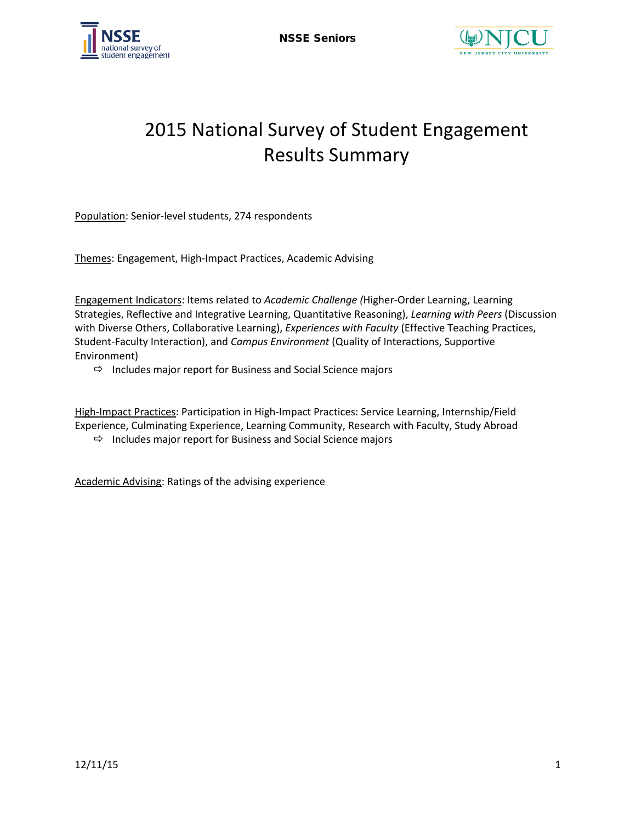



# 2015 National Survey of Student Engagement Results Summary

Population: Senior-level students, 274 respondents

Themes: Engagement, High-Impact Practices, Academic Advising

Engagement Indicators: Items related to *Academic Challenge (*Higher-Order Learning, Learning Strategies, Reflective and Integrative Learning, Quantitative Reasoning), *Learning with Peers* (Discussion with Diverse Others, Collaborative Learning), *Experiences with Faculty* (Effective Teaching Practices, Student-Faculty Interaction), and *Campus Environment* (Quality of Interactions, Supportive Environment)

 $\Rightarrow$  Includes major report for Business and Social Science majors

High-Impact Practices: Participation in High-Impact Practices: Service Learning, Internship/Field Experience, Culminating Experience, Learning Community, Research with Faculty, Study Abroad

 $\Rightarrow$  Includes major report for Business and Social Science majors

Academic Advising: Ratings of the advising experience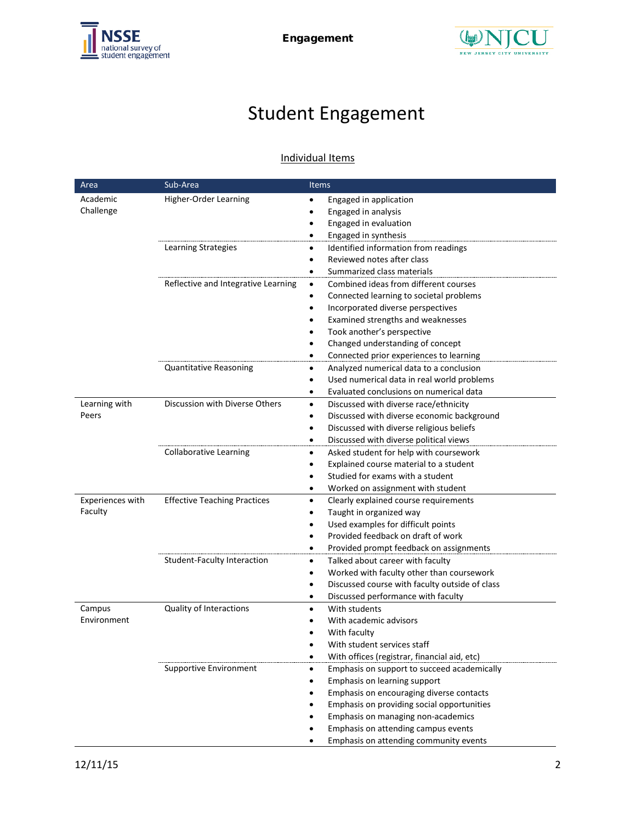



# Student Engagement

### Individual Items

| Area             | Sub-Area                            | <b>Items</b>                                                       |  |  |  |
|------------------|-------------------------------------|--------------------------------------------------------------------|--|--|--|
| Academic         | Higher-Order Learning               | Engaged in application                                             |  |  |  |
| Challenge        |                                     | Engaged in analysis                                                |  |  |  |
|                  |                                     | Engaged in evaluation                                              |  |  |  |
|                  |                                     | Engaged in synthesis                                               |  |  |  |
|                  | Learning Strategies                 | Identified information from readings<br>٠                          |  |  |  |
|                  |                                     | Reviewed notes after class                                         |  |  |  |
|                  |                                     | Summarized class materials                                         |  |  |  |
|                  | Reflective and Integrative Learning | Combined ideas from different courses<br>$\bullet$                 |  |  |  |
|                  |                                     | Connected learning to societal problems                            |  |  |  |
|                  |                                     | Incorporated diverse perspectives<br>٠                             |  |  |  |
|                  |                                     | Examined strengths and weaknesses                                  |  |  |  |
|                  |                                     | Took another's perspective                                         |  |  |  |
|                  |                                     | Changed understanding of concept                                   |  |  |  |
|                  |                                     | Connected prior experiences to learning                            |  |  |  |
|                  | Quantitative Reasoning              | Analyzed numerical data to a conclusion<br>٠                       |  |  |  |
|                  |                                     | Used numerical data in real world problems                         |  |  |  |
|                  |                                     | Evaluated conclusions on numerical data<br>$\bullet$               |  |  |  |
| Learning with    | Discussion with Diverse Others      | Discussed with diverse race/ethnicity<br>٠                         |  |  |  |
| Peers            |                                     | Discussed with diverse economic background                         |  |  |  |
|                  |                                     | Discussed with diverse religious beliefs<br>٠                      |  |  |  |
|                  |                                     | Discussed with diverse political views<br>٠                        |  |  |  |
|                  | <b>Collaborative Learning</b>       | Asked student for help with coursework<br>٠                        |  |  |  |
|                  |                                     | Explained course material to a student                             |  |  |  |
|                  |                                     | Studied for exams with a student                                   |  |  |  |
| Experiences with | <b>Effective Teaching Practices</b> | Worked on assignment with student<br>٠                             |  |  |  |
| Faculty          |                                     | Clearly explained course requirements<br>$\bullet$                 |  |  |  |
|                  |                                     | Taught in organized way<br>Used examples for difficult points<br>٠ |  |  |  |
|                  |                                     | Provided feedback on draft of work                                 |  |  |  |
|                  |                                     | Provided prompt feedback on assignments                            |  |  |  |
|                  | Student-Faculty Interaction         | Talked about career with faculty<br>٠                              |  |  |  |
|                  |                                     | Worked with faculty other than coursework<br>٠                     |  |  |  |
|                  |                                     | Discussed course with faculty outside of class                     |  |  |  |
|                  |                                     | Discussed performance with faculty<br>٠                            |  |  |  |
| Campus           | Quality of Interactions             | With students                                                      |  |  |  |
| Environment      |                                     | With academic advisors                                             |  |  |  |
|                  |                                     | With faculty                                                       |  |  |  |
|                  |                                     | With student services staff                                        |  |  |  |
|                  |                                     | With offices (registrar, financial aid, etc)                       |  |  |  |
|                  | Supportive Environment              | Emphasis on support to succeed academically<br>$\bullet$           |  |  |  |
|                  |                                     | Emphasis on learning support                                       |  |  |  |
|                  |                                     | Emphasis on encouraging diverse contacts                           |  |  |  |
|                  |                                     | Emphasis on providing social opportunities                         |  |  |  |
|                  |                                     | Emphasis on managing non-academics                                 |  |  |  |
|                  |                                     | Emphasis on attending campus events                                |  |  |  |
|                  |                                     | Emphasis on attending community events                             |  |  |  |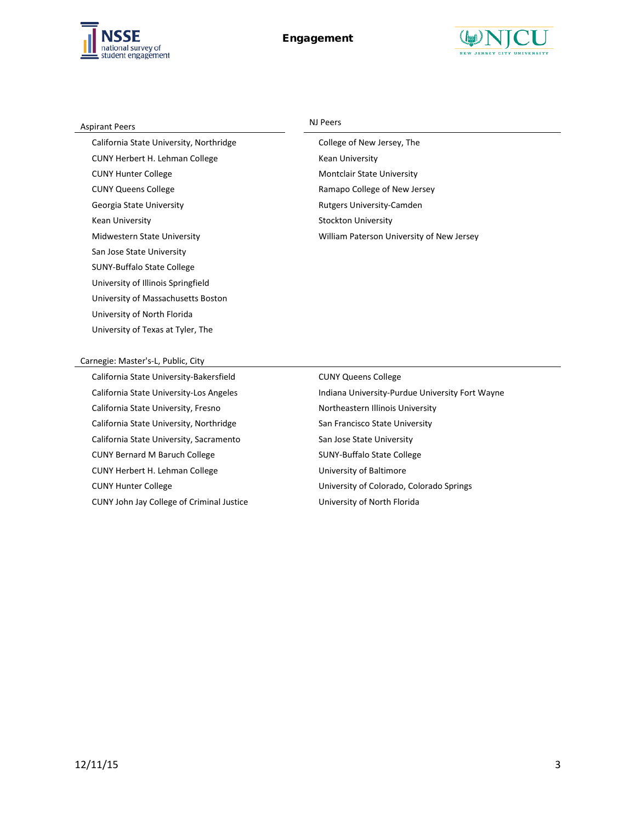



| <b>Aspirant Peers</b>                   | NJ Peers                                  |
|-----------------------------------------|-------------------------------------------|
| California State University, Northridge | College of New Jersey, The                |
| CUNY Herbert H. Lehman College          | Kean University                           |
| <b>CUNY Hunter College</b>              | <b>Montclair State University</b>         |
| <b>CUNY Queens College</b>              | Ramapo College of New Jersey              |
| Georgia State University                | <b>Rutgers University-Camden</b>          |
| Kean University                         | <b>Stockton University</b>                |
| Midwestern State University             | William Paterson University of New Jersey |
| San Jose State University               |                                           |
| <b>SUNY-Buffalo State College</b>       |                                           |
| University of Illinois Springfield      |                                           |

#### Carnegie: Master's-L, Public, City

University of North Florida University of Texas at Tyler, The

University of Massachusetts Boston

California State University-Bakersfield **CUNY Queens College** California State University, Fresno Northeastern Illinois University California State University, Northridge San Francisco State University California State University, Sacramento San Jose State University CUNY Bernard M Baruch College SUNY-Buffalo State College CUNY Herbert H. Lehman College University of Baltimore CUNY John Jay College of Criminal Justice University of North Florida

California State University-Los Angeles **Indiana University-Purdue University Fort Wayne** CUNY Hunter College **CUNY** Hunter College **University of Colorado, Colorado Springs**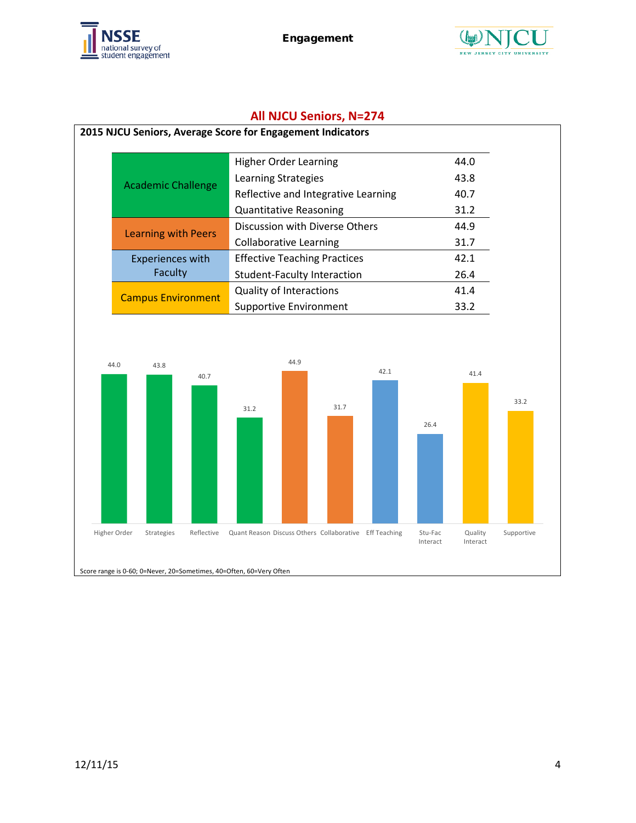



# **All NJCU Seniors, N=274**

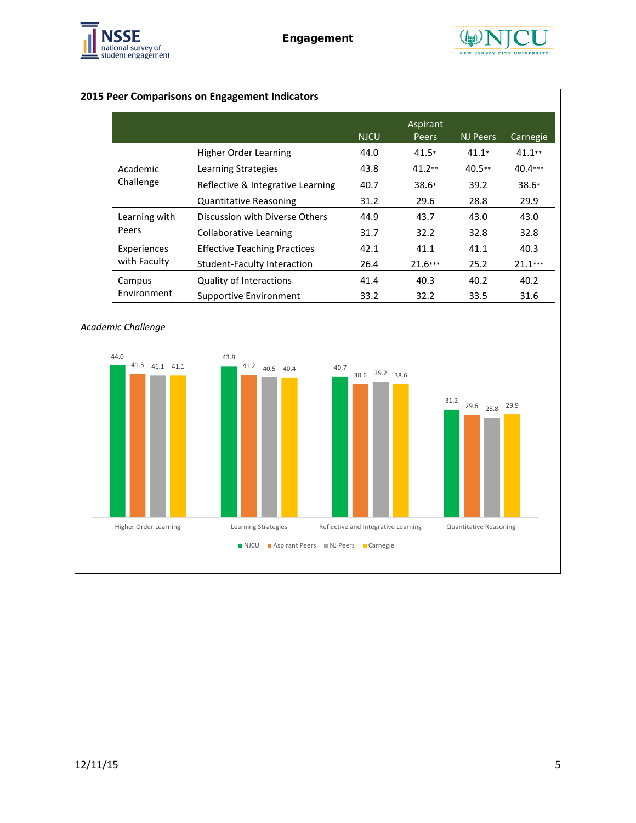



# **2015 Peer Comparisons on Engagement Indicators**

|               |                                     | <b>NJCU</b> | Aspirant<br><b>Peers</b> | NJ Peers | Carnegie  |
|---------------|-------------------------------------|-------------|--------------------------|----------|-----------|
|               | Higher Order Learning               | 44.0        | $41.5*$                  | $41.1*$  | $41.1**$  |
| Academic      | Learning Strategies                 | 43.8        | $41.2**$                 | $40.5**$ | $40.4***$ |
| Challenge     | Reflective & Integrative Learning   | 40.7        | $38.6*$                  | 39.2     | $38.6*$   |
|               | <b>Quantitative Reasoning</b>       | 31.2        | 29.6                     | 28.8     | 29.9      |
| Learning with | Discussion with Diverse Others      | 44.9        | 43.7                     | 43.0     | 43.0      |
| Peers         | Collaborative Learning              | 31.7        | 32.2                     | 32.8     | 32.8      |
| Experiences   | <b>Effective Teaching Practices</b> | 42.1        | 41.1                     | 41.1     | 40.3      |
| with Faculty  | Student-Faculty Interaction         | 26.4        | $21.6***$                | 25.2     | $21.1***$ |
| Campus        | <b>Quality of Interactions</b>      | 41.4        | 40.3                     | 40.2     | 40.2      |
| Environment   | Supportive Environment              | 33.2        | 32.2                     | 33.5     | 31.6      |

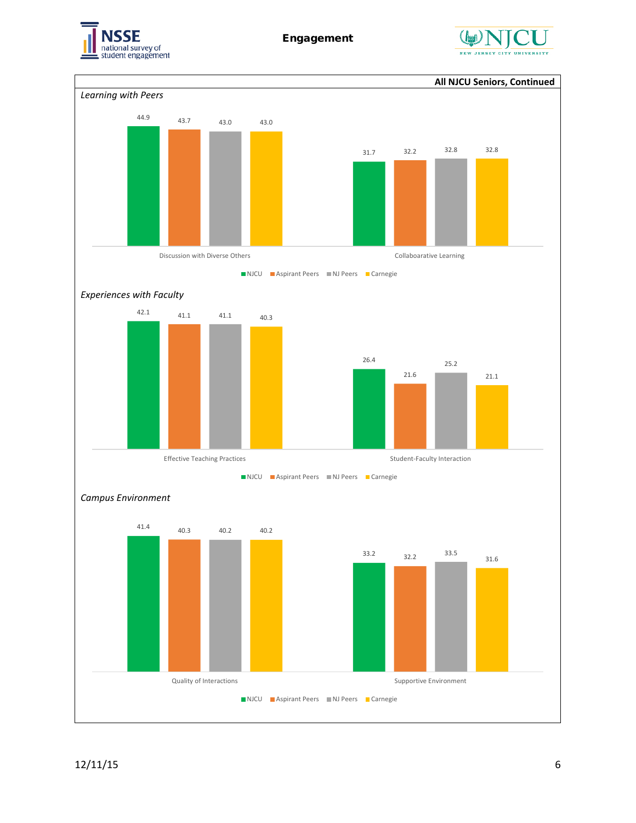



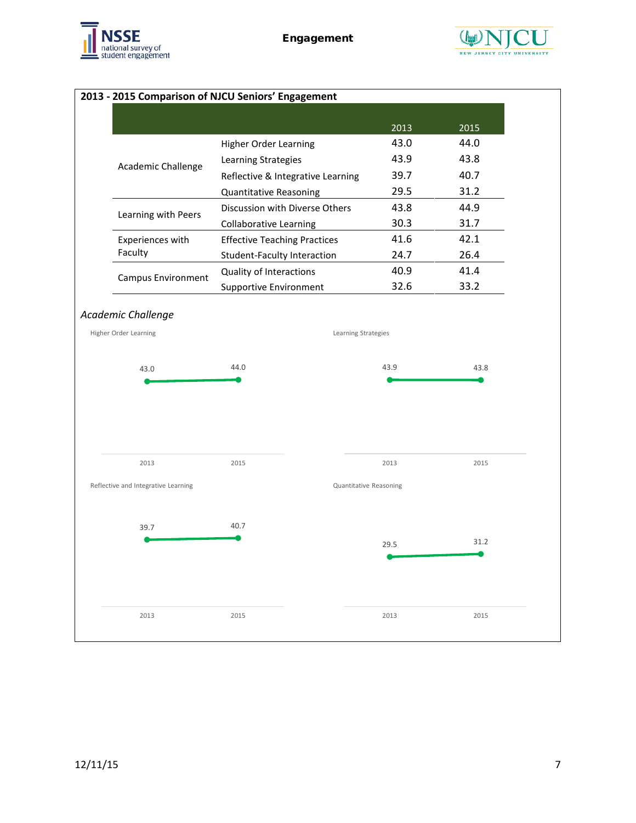



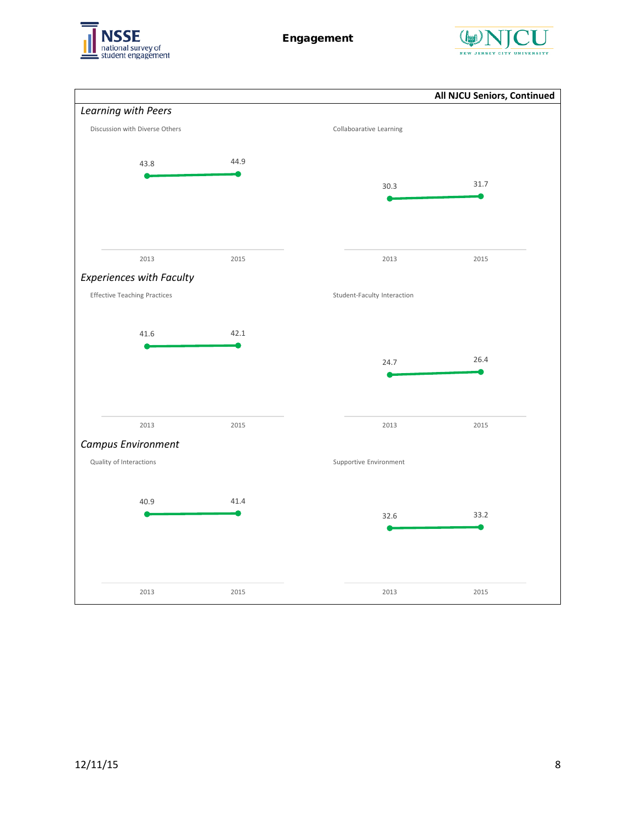![](_page_7_Picture_0.jpeg)

![](_page_7_Picture_2.jpeg)

![](_page_7_Figure_3.jpeg)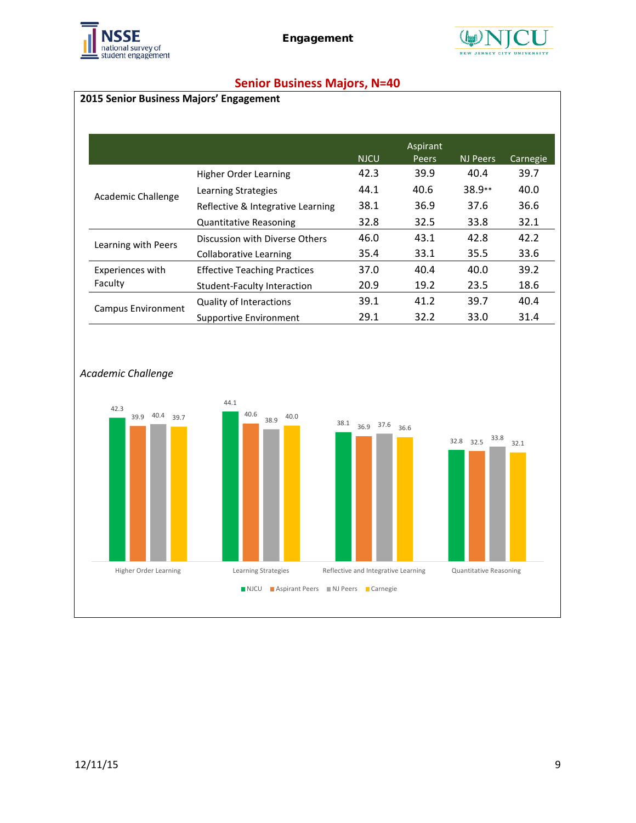![](_page_8_Picture_0.jpeg)

![](_page_8_Picture_2.jpeg)

# **Senior Business Majors, N=40**

### **2015 Senior Business Majors' Engagement**

|                     |                                     |             | Aspirant |          |          |
|---------------------|-------------------------------------|-------------|----------|----------|----------|
|                     |                                     | <b>NJCU</b> | Peers    | NJ Peers | Carnegie |
|                     | Higher Order Learning               | 42.3        | 39.9     | 40.4     | 39.7     |
| Academic Challenge  | Learning Strategies                 | 44.1        | 40.6     | 38.9**   | 40.0     |
|                     | Reflective & Integrative Learning   | 38.1        | 36.9     | 37.6     | 36.6     |
|                     | <b>Quantitative Reasoning</b>       | 32.8        | 32.5     | 33.8     | 32.1     |
| Learning with Peers | Discussion with Diverse Others      | 46.0        | 43.1     | 42.8     | 42.2     |
|                     | Collaborative Learning              | 35.4        | 33.1     | 35.5     | 33.6     |
| Experiences with    | <b>Effective Teaching Practices</b> | 37.0        | 40.4     | 40.0     | 39.2     |
| Faculty             | <b>Student-Faculty Interaction</b>  | 20.9        | 19.2     | 23.5     | 18.6     |
| Campus Environment  | <b>Quality of Interactions</b>      | 39.1        | 41.2     | 39.7     | 40.4     |
|                     | Supportive Environment              | 29.1        | 32.2     | 33.0     | 31.4     |

![](_page_8_Figure_6.jpeg)

#### *Academic Challenge*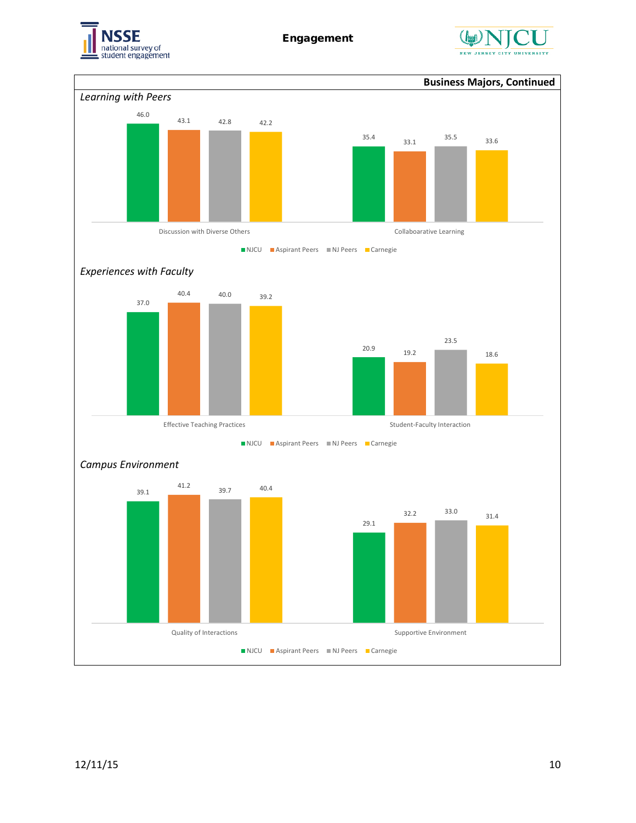![](_page_9_Picture_0.jpeg)

![](_page_9_Picture_2.jpeg)

![](_page_9_Figure_3.jpeg)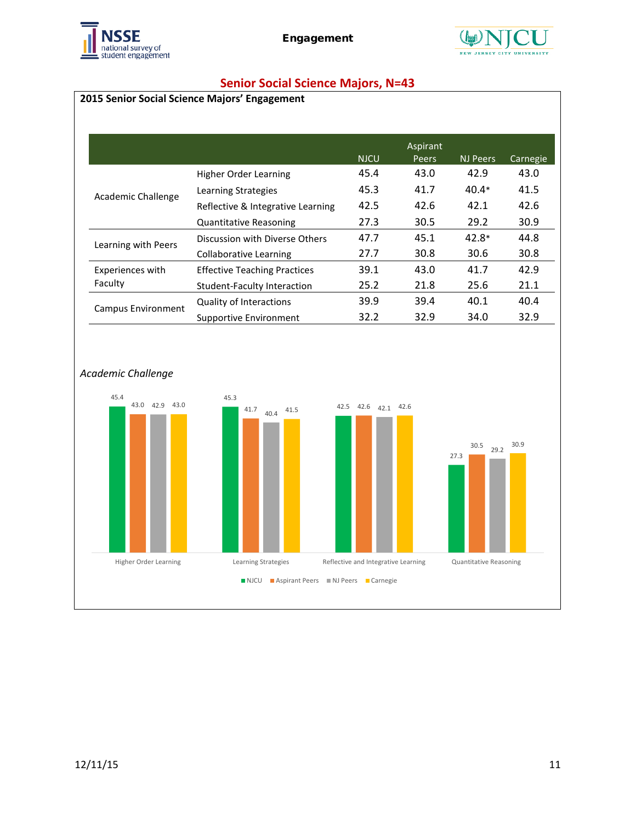![](_page_10_Picture_0.jpeg)

![](_page_10_Picture_2.jpeg)

# **Senior Social Science Majors, N=43**

# **2015 Senior Social Science Majors' Engagement**

|                     |                                     |             | Aspirant |          |          |
|---------------------|-------------------------------------|-------------|----------|----------|----------|
|                     |                                     | <b>NJCU</b> | Peers    | NJ Peers | Carnegie |
|                     | Higher Order Learning               | 45.4        | 43.0     | 42.9     | 43.0     |
| Academic Challenge  | Learning Strategies                 | 45.3        | 41.7     | $40.4*$  | 41.5     |
|                     | Reflective & Integrative Learning   | 42.5        | 42.6     | 42.1     | 42.6     |
|                     | <b>Quantitative Reasoning</b>       | 27.3        | 30.5     | 29.2     | 30.9     |
| Learning with Peers | Discussion with Diverse Others      | 47.7        | 45.1     | $42.8*$  | 44.8     |
|                     | <b>Collaborative Learning</b>       | 27.7        | 30.8     | 30.6     | 30.8     |
| Experiences with    | <b>Effective Teaching Practices</b> | 39.1        | 43.0     | 41.7     | 42.9     |
| Faculty             | Student-Faculty Interaction         | 25.2        | 21.8     | 25.6     | 21.1     |
| Campus Environment  | <b>Quality of Interactions</b>      | 39.9        | 39.4     | 40.1     | 40.4     |
|                     | Supportive Environment              | 32.2        | 32.9     | 34.0     | 32.9     |

![](_page_10_Figure_6.jpeg)

#### *Academic Challenge*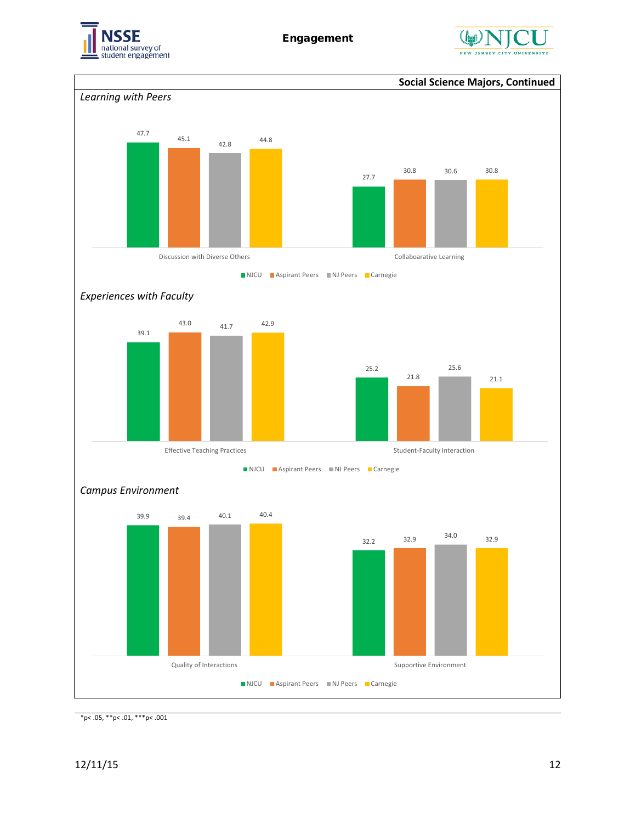![](_page_11_Picture_0.jpeg)

![](_page_11_Picture_2.jpeg)

![](_page_11_Figure_3.jpeg)

 $*p$  < .05,  $*p$  < .01,  $**p$  < .001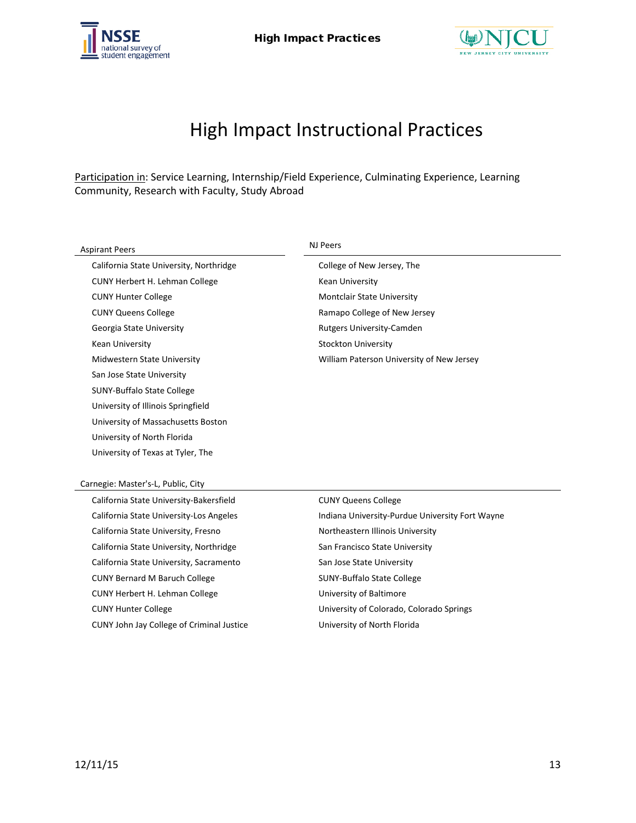![](_page_12_Picture_0.jpeg)

![](_page_12_Picture_2.jpeg)

# High Impact Instructional Practices

Participation in: Service Learning, Internship/Field Experience, Culminating Experience, Learning Community, Research with Faculty, Study Abroad

| <b>Aspirant Peers</b>                     | NJ Peers                                        |
|-------------------------------------------|-------------------------------------------------|
| California State University, Northridge   | College of New Jersey, The                      |
| CUNY Herbert H. Lehman College            | Kean University                                 |
| <b>CUNY Hunter College</b>                | Montclair State University                      |
| <b>CUNY Queens College</b>                | Ramapo College of New Jersey                    |
| Georgia State University                  | <b>Rutgers University-Camden</b>                |
| Kean University                           | <b>Stockton University</b>                      |
| Midwestern State University               | William Paterson University of New Jersey       |
| San Jose State University                 |                                                 |
| <b>SUNY-Buffalo State College</b>         |                                                 |
| University of Illinois Springfield        |                                                 |
| University of Massachusetts Boston        |                                                 |
| University of North Florida               |                                                 |
| University of Texas at Tyler, The         |                                                 |
|                                           |                                                 |
| Carnegie: Master's-L, Public, City        |                                                 |
| California State University-Bakersfield   | <b>CUNY Queens College</b>                      |
| California State University-Los Angeles   | Indiana University-Purdue University Fort Wayne |
| California State University, Fresno       | Northeastern Illinois University                |
| California State University, Northridge   | San Francisco State University                  |
| California State University, Sacramento   | San Jose State University                       |
| <b>CUNY Bernard M Baruch College</b>      | <b>SUNY-Buffalo State College</b>               |
| CUNY Herbert H. Lehman College            | University of Baltimore                         |
| <b>CUNY Hunter College</b>                | University of Colorado, Colorado Springs        |
| CUNY John Jay College of Criminal Justice | University of North Florida                     |
|                                           |                                                 |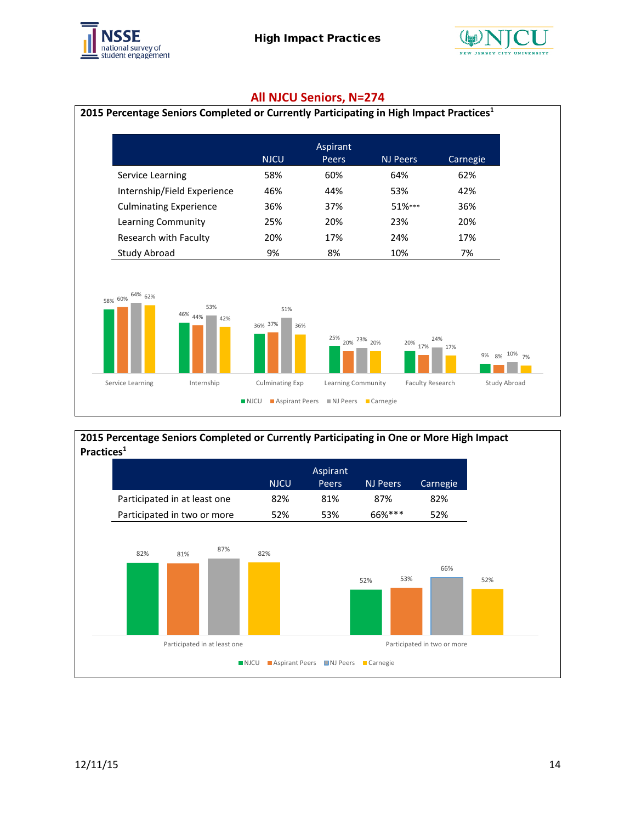![](_page_13_Picture_0.jpeg)

![](_page_13_Picture_2.jpeg)

#### **All NJCU Seniors, N=274**

![](_page_13_Figure_4.jpeg)

#### **2015 Percentage Seniors Completed or Currently Participating in One or More High Impact Practices1**

![](_page_13_Figure_6.jpeg)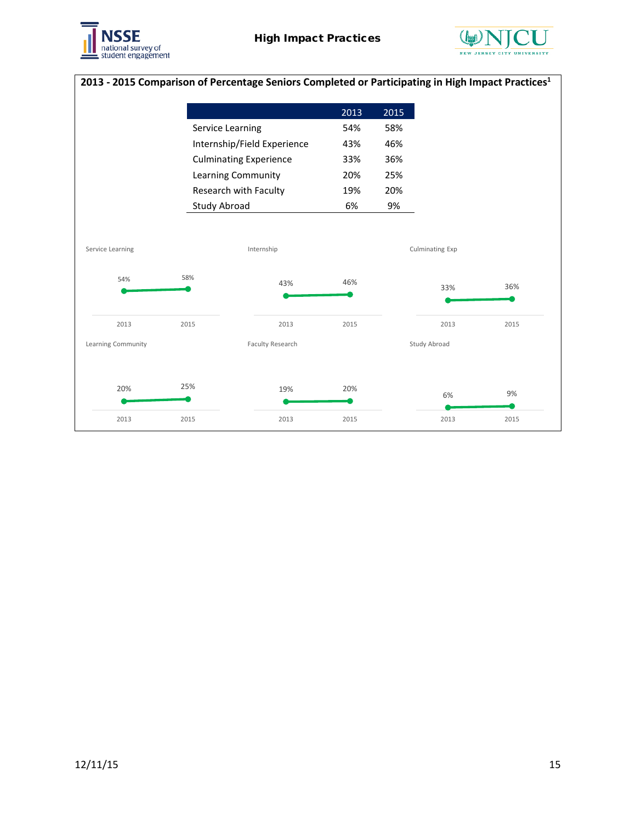![](_page_14_Picture_0.jpeg)

![](_page_14_Picture_2.jpeg)

# **2013 - 2015 Comparison of Percentage Seniors Completed or Participating in High Impact Practices1**

|                    |      |                               | 2013 | 2015 |                 |      |
|--------------------|------|-------------------------------|------|------|-----------------|------|
|                    |      | Service Learning              | 54%  | 58%  |                 |      |
|                    |      | Internship/Field Experience   | 43%  | 46%  |                 |      |
|                    |      | <b>Culminating Experience</b> | 33%  | 36%  |                 |      |
|                    |      | Learning Community            | 20%  | 25%  |                 |      |
|                    |      | Research with Faculty         | 19%  | 20%  |                 |      |
|                    |      | Study Abroad                  | 6%   | 9%   |                 |      |
|                    |      |                               |      |      |                 |      |
| Service Learning   |      | Internship                    |      |      | Culminating Exp |      |
| 54%                | 58%  | 43%                           | 46%  |      | 33%             | 36%  |
| 2013               | 2015 | 2013                          | 2015 |      | 2013            | 2015 |
| Learning Community |      | Faculty Research              |      |      | Study Abroad    |      |
| 20%                | 25%  | 19%                           | 20%  |      |                 | 9%   |
|                    |      |                               |      |      | 6%              |      |
| 2013               | 2015 | 2013                          | 2015 |      | 2013            | 2015 |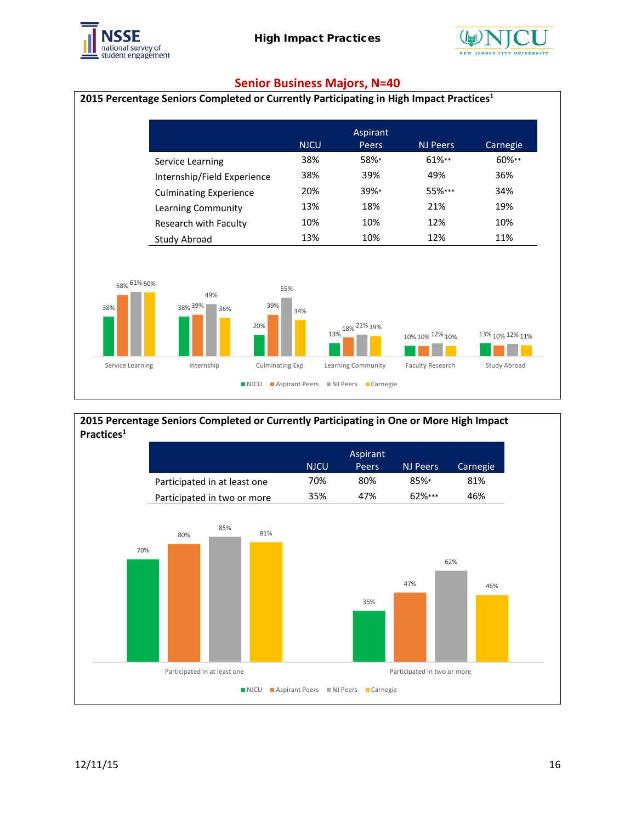![](_page_15_Picture_0.jpeg)

![](_page_15_Picture_2.jpeg)

#### **Senior Business Majors, N=40**

![](_page_15_Figure_4.jpeg)

![](_page_15_Figure_5.jpeg)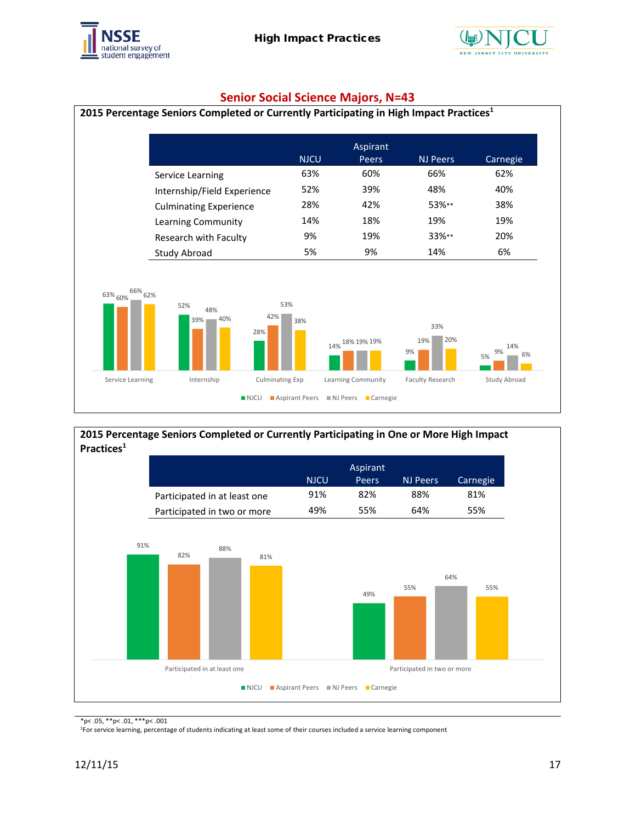![](_page_16_Picture_0.jpeg)

![](_page_16_Picture_2.jpeg)

### **Senior Social Science Majors, N=43**

![](_page_16_Figure_4.jpeg)

#### **2015 Percentage Seniors Completed or Currently Participating in One or More High Impact Practices1**

![](_page_16_Figure_6.jpeg)

\*p< .05, \*\*p< .01, \*\*\*p< .001

1For service learning, percentage of students indicating at least some of their courses included a service learning component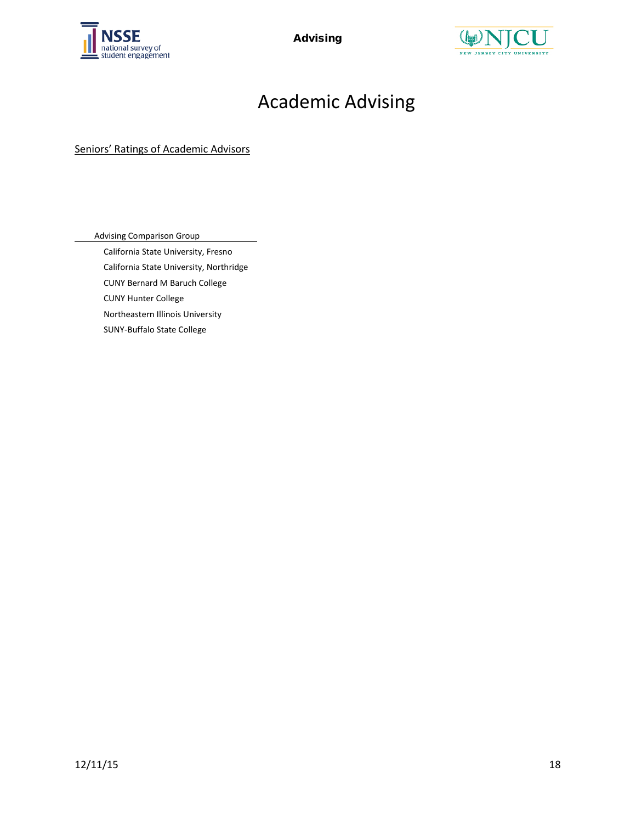![](_page_17_Picture_0.jpeg)

Advising

![](_page_17_Picture_2.jpeg)

# Academic Advising

Seniors' Ratings of Academic Advisors

Advising Comparison Group

California State University, Fresno California State University, Northridge CUNY Bernard M Baruch College CUNY Hunter College Northeastern Illinois University SUNY-Buffalo State College